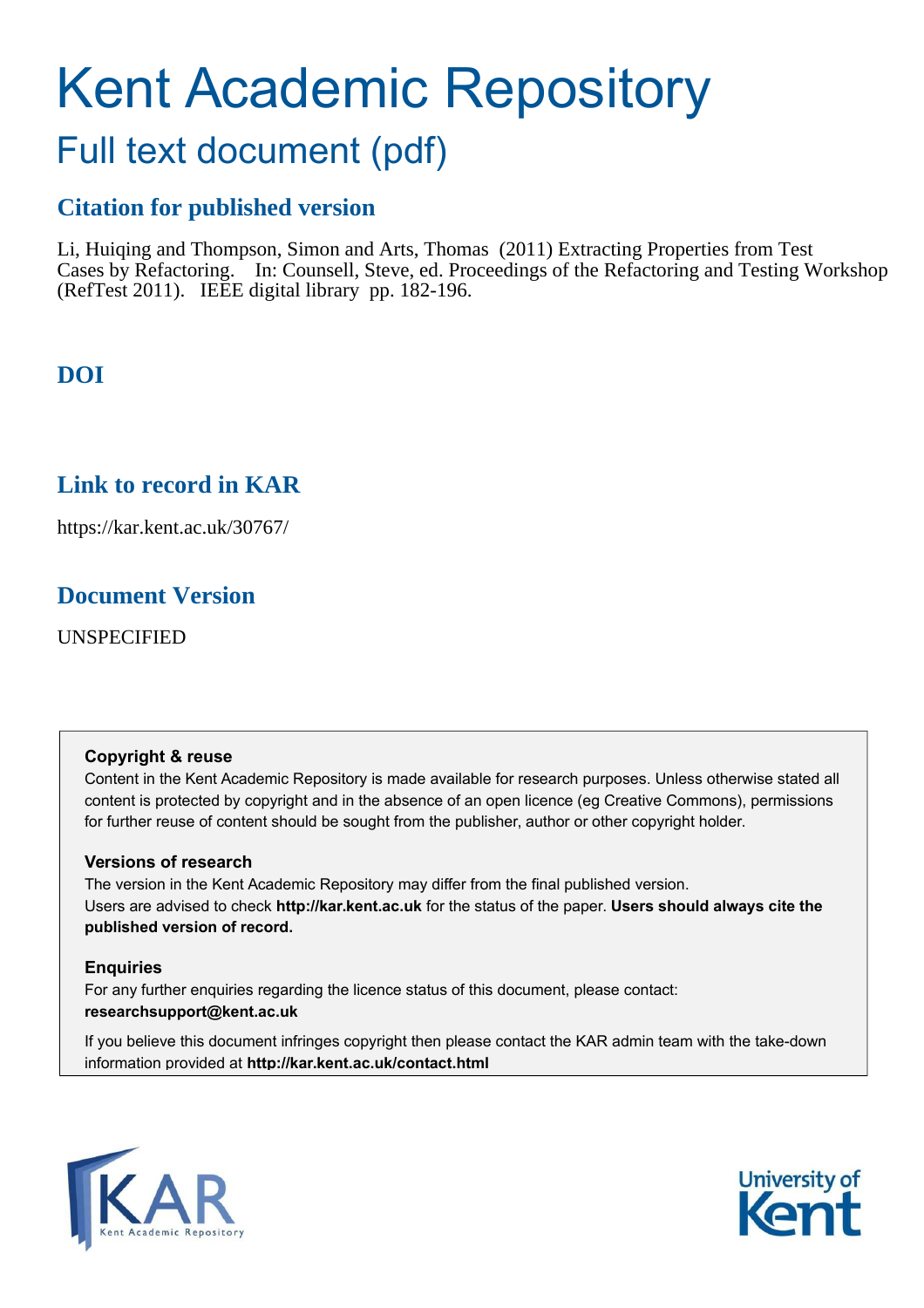# Kent Academic Repository

# Full text document (pdf)

# **Citation for published version**

Li, Huiqing and Thompson, Simon and Arts, Thomas (2011) Extracting Properties from Test Cases by Refactoring. In: Counsell, Steve, ed. Proceedings of the Refactoring and Testing Workshop (RefTest 2011). IEEE digital library pp. 182-196.

# **DOI**

# **Link to record in KAR**

https://kar.kent.ac.uk/30767/

# **Document Version**

UNSPECIFIED

# **Copyright & reuse**

Content in the Kent Academic Repository is made available for research purposes. Unless otherwise stated all content is protected by copyright and in the absence of an open licence (eg Creative Commons), permissions for further reuse of content should be sought from the publisher, author or other copyright holder.

# **Versions of research**

The version in the Kent Academic Repository may differ from the final published version. Users are advised to check **http://kar.kent.ac.uk** for the status of the paper. **Users should always cite the published version of record.**

# **Enquiries**

For any further enquiries regarding the licence status of this document, please contact: **researchsupport@kent.ac.uk**

If you believe this document infringes copyright then please contact the KAR admin team with the take-down information provided at **http://kar.kent.ac.uk/contact.html**



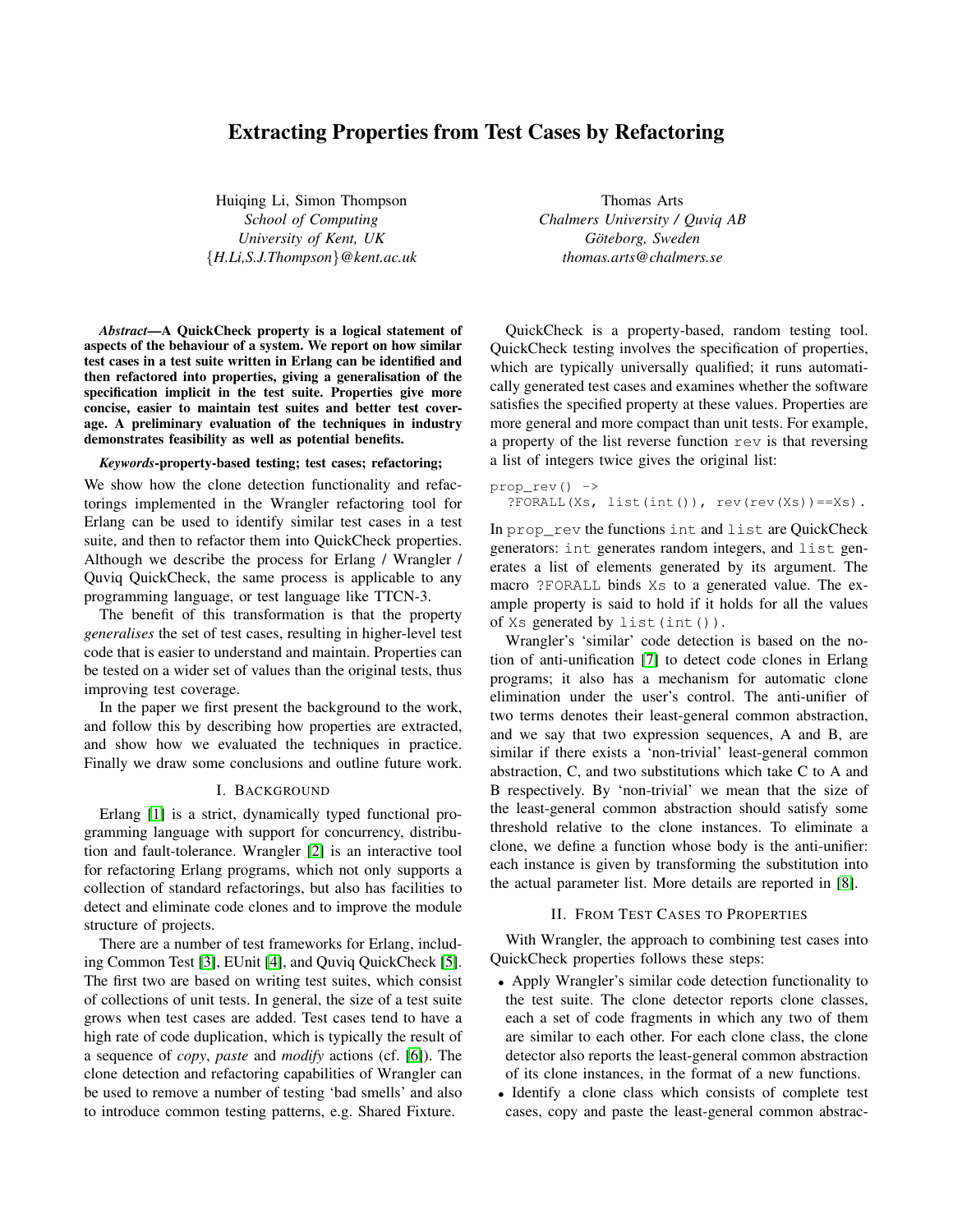## Extracting Properties from Test Cases by Refactoring

Huiqing Li, Simon Thompson *School of Computing University of Kent, UK* {*H.Li,S.J.Thompson*}*@kent.ac.uk*

*Abstract*—A QuickCheck property is a logical statement of aspects of the behaviour of a system. We report on how similar test cases in a test suite written in Erlang can be identified and then refactored into properties, giving a generalisation of the specification implicit in the test suite. Properties give more concise, easier to maintain test suites and better test coverage. A preliminary evaluation of the techniques in industry demonstrates feasibility as well as potential benefits.

#### *Keywords*-property-based testing; test cases; refactoring;

We show how the clone detection functionality and refactorings implemented in the Wrangler refactoring tool for Erlang can be used to identify similar test cases in a test suite, and then to refactor them into QuickCheck properties. Although we describe the process for Erlang / Wrangler / Quviq QuickCheck, the same process is applicable to any programming language, or test language like TTCN-3.

The benefit of this transformation is that the property *generalises* the set of test cases, resulting in higher-level test code that is easier to understand and maintain. Properties can be tested on a wider set of values than the original tests, thus improving test coverage.

In the paper we first present the background to the work, and follow this by describing how properties are extracted, and show how we evaluated the techniques in practice. Finally we draw some conclusions and outline future work.

#### I. BACKGROUND

Erlang [\[1\]](#page-1-0) is a strict, dynamically typed functional programming language with support for concurrency, distribution and fault-tolerance. Wrangler [\[2\]](#page-1-1) is an interactive tool for refactoring Erlang programs, which not only supports a collection of standard refactorings, but also has facilities to detect and eliminate code clones and to improve the module structure of projects.

There are a number of test frameworks for Erlang, including Common Test [\[3\]](#page-1-2), EUnit [\[4\]](#page-1-3), and Quviq QuickCheck [\[5\]](#page-1-4). The first two are based on writing test suites, which consist of collections of unit tests. In general, the size of a test suite grows when test cases are added. Test cases tend to have a high rate of code duplication, which is typically the result of a sequence of *copy*, *paste* and *modify* actions (cf. [\[6\]](#page-1-5)). The clone detection and refactoring capabilities of Wrangler can be used to remove a number of testing 'bad smells' and also to introduce common testing patterns, e.g. Shared Fixture.

Thomas Arts *Chalmers University / Quviq AB*  $Göteborg, Sweden$ *thomas.arts@chalmers.se*

QuickCheck is a property-based, random testing tool. QuickCheck testing involves the specification of properties, which are typically universally qualified; it runs automatically generated test cases and examines whether the software satisfies the specified property at these values. Properties are more general and more compact than unit tests. For example, a property of the list reverse function rev is that reversing a list of integers twice gives the original list:

```
prop_rev() ->
?FORALL(Xs, list(int()), rev(rev(Xs))==Xs).
```
In prop\_rev the functions int and list are QuickCheck generators: int generates random integers, and list generates a list of elements generated by its argument. The macro ?FORALL binds Xs to a generated value. The example property is said to hold if it holds for all the values of Xs generated by list(int()).

<span id="page-1-0"></span>Wrangler's 'similar' code detection is based on the notion of anti-unification [\[7\]](#page-1-6) to detect code clones in Erlang programs; it also has a mechanism for automatic clone elimination under the user's control. The anti-unifier of two terms denotes their least-general common abstraction, and we say that two expression sequences, A and B, are similar if there exists a 'non-trivial' least-general common abstraction, C, and two substitutions which take C to A and B respectively. By 'non-trivial' we mean that the size of the least-general common abstraction should satisfy some threshold relative to the clone instances. To eliminate a clone, we define a function whose body is the anti-unifier: each instance is given by transforming the substitution into the actual parameter list. More details are reported in [\[8\]](#page-1-7).

#### <span id="page-1-1"></span>II. FROM TEST CASES TO PROPERTIES

<span id="page-1-4"></span><span id="page-1-3"></span><span id="page-1-2"></span>With Wrangler, the approach to combining test cases into QuickCheck properties follows these steps:

- <span id="page-1-5"></span>• Apply Wrangler's similar code detection functionality to the test suite. The clone detector reports clone classes, each a set of code fragments in which any two of them are similar to each other. For each clone class, the clone detector also reports the least-general common abstraction of its clone instances, in the format of a new functions.
- <span id="page-1-7"></span><span id="page-1-6"></span>• Identify a clone class which consists of complete test cases, copy and paste the least-general common abstrac-